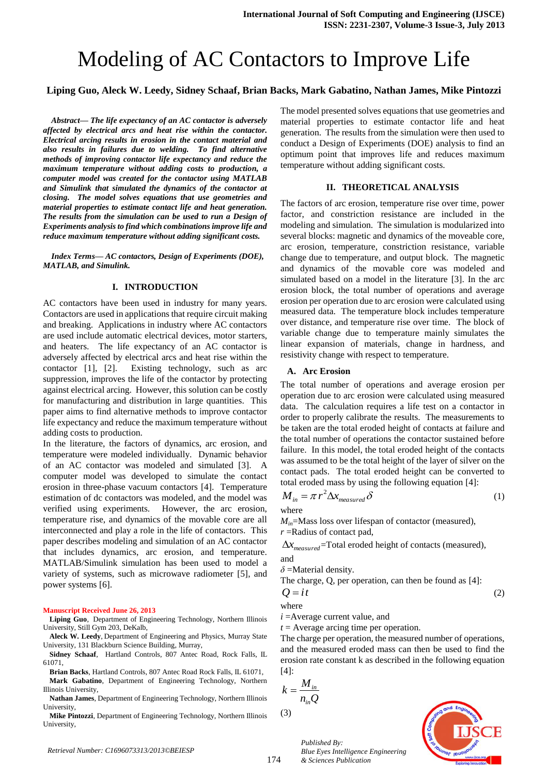# Modeling of AC Contactors to Improve Life

# **Liping Guo, Aleck W. Leedy, Sidney Schaaf, Brian Backs, Mark Gabatino, Nathan James, Mike Pintozzi**

*Abstract— The life expectancy of an AC contactor is adversely affected by electrical arcs and heat rise within the contactor. Electrical arcing results in erosion in the contact material and also results in failures due to welding. To find alternative methods of improving contactor life expectancy and reduce the maximum temperature without adding costs to production, a computer model was created for the contactor using MATLAB and Simulink that simulated the dynamics of the contactor at closing. The model solves equations that use geometries and material properties to estimate contact life and heat generation. The results from the simulation can be used to run a Design of Experiments analysis to find which combinations improve life and reduce maximum temperature without adding significant costs.*

*Index Terms— AC contactors, Design of Experiments (DOE), MATLAB, and Simulink.*

## **I. INTRODUCTION**

AC contactors have been used in industry for many years. Contactors are used in applications that require circuit making and breaking. Applications in industry where AC contactors are used include automatic electrical devices, motor starters, and heaters. The life expectancy of an AC contactor is adversely affected by electrical arcs and heat rise within the contactor [1], [2]. Existing technology, such as arc suppression, improves the life of the contactor by protecting against electrical arcing. However, this solution can be costly for manufacturing and distribution in large quantities. This paper aims to find alternative methods to improve contactor life expectancy and reduce the maximum temperature without adding costs to production.

In the literature, the factors of dynamics, arc erosion, and temperature were modeled individually. Dynamic behavior of an AC contactor was modeled and simulated [3]. A computer model was developed to simulate the contact erosion in three-phase vacuum contactors [4]. Temperature estimation of dc contactors was modeled, and the model was verified using experiments. However, the arc erosion, temperature rise, and dynamics of the movable core are all interconnected and play a role in the life of contactors. This paper describes modeling and simulation of an AC contactor that includes dynamics, arc erosion, and temperature. MATLAB/Simulink simulation has been used to model a variety of systems, such as microwave radiometer [5], and power systems [6].

#### **Manuscript Received June 26, 2013**

**Liping Guo**, Department of Engineering Technology, Northern Illinois University, Still Gym 203, DeKalb,

**Aleck W. Leedy**, Department of Engineering and Physics, Murray State University, 131 Blackburn Science Building, Murray,

**Sidney Schaaf**, Hartland Controls, 807 Antec Road, Rock Falls, IL 61071,

**Brian Backs**, Hartland Controls, 807 Antec Road Rock Falls, IL 61071,

**Mark Gabatino**, Department of Engineering Technology, Northern Illinois University,

**Nathan James**, Department of Engineering Technology, Northern Illinois University,

**Mike Pintozzi**, Department of Engineering Technology, Northern Illinois University,

The model presented solves equations that use geometries and material properties to estimate contactor life and heat generation. The results from the simulation were then used to conduct a Design of Experiments (DOE) analysis to find an optimum point that improves life and reduces maximum temperature without adding significant costs.

# **II. THEORETICAL ANALYSIS**

The factors of arc erosion, temperature rise over time, power factor, and constriction resistance are included in the modeling and simulation. The simulation is modularized into several blocks: magnetic and dynamics of the moveable core, arc erosion, temperature, constriction resistance, variable change due to temperature, and output block. The magnetic and dynamics of the movable core was modeled and simulated based on a model in the literature [3]. In the arc erosion block, the total number of operations and average erosion per operation due to arc erosion were calculated using measured data. The temperature block includes temperature over distance, and temperature rise over time. The block of variable change due to temperature mainly simulates the linear expansion of materials, change in hardness, and resistivity change with respect to temperature.

## **A. Arc Erosion**

The total number of operations and average erosion per operation due to arc erosion were calculated using measured data. The calculation requires a life test on a contactor in order to properly calibrate the results. The measurements to be taken are the total eroded height of contacts at failure and the total number of operations the contactor sustained before failure. In this model, the total eroded height of the contacts was assumed to be the total height of the layer of silver on the contact pads. The total eroded height can be converted to total eroded mass by using the following equation [4]:

$$
M_{in} = \pi r^2 \Delta x_{measured} \delta
$$
 (1)  
where

*Min*=Mass loss over lifespan of contactor (measured), *r* =Radius of contact pad,

 $\Delta x_{measured}$ =Total eroded height of contacts (measured), and

*δ* =Material density.

The charge, Q, per operation, can then be found as [4]:  $Q = it$  (2)

where

*i* =Average current value, and

*t* = Average arcing time per operation.

The charge per operation, the measured number of operations, and the measured eroded mass can then be used to find the erosion rate constant k as described in the following equation  $[4]$ :

$$
k = \frac{M_{in}}{n_{in}Q}
$$
  
(3)

174



*Published By: Blue Eyes Intelligence Engineering & Sciences Publication*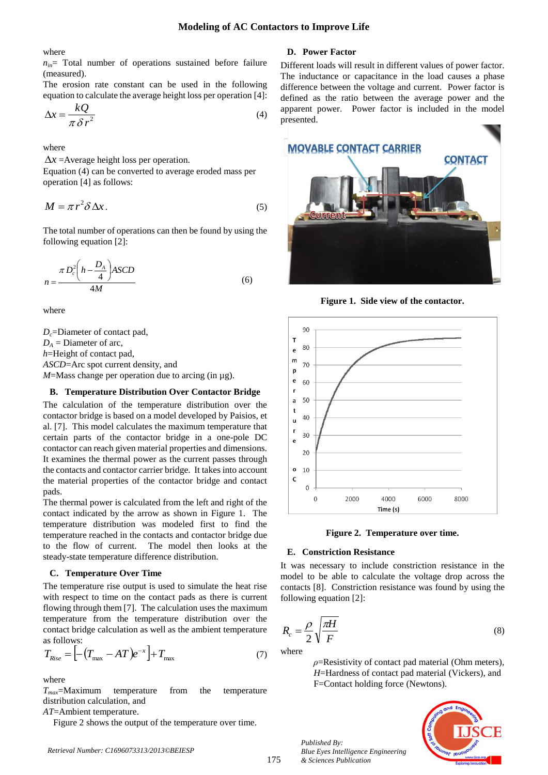where

 $n_{in}$  Total number of operations sustained before failure (measured).

The erosion rate constant can be used in the following equation to calculate the average height loss per operation [4]:

$$
\Delta x = \frac{kQ}{\pi \delta r^2} \tag{4}
$$

where

 $\Delta x$  =Average height loss per operation.

Equation (4) can be converted to average eroded mass per operation [4] as follows:

$$
M = \pi r^2 \delta \Delta x. \tag{5}
$$

The total number of operations can then be found by using the following equation [2]:

$$
n = \frac{\pi D_c^2 \left( h - \frac{D_A}{4} \right) \text{ASCD}}{4M} \tag{6}
$$

where

*Dc*=Diameter of contact pad,  $D_A$  = Diameter of arc, *h*=Height of contact pad, *ASCD*=Arc spot current density, and *M*=Mass change per operation due to arcing (in µg).

## **B. Temperature Distribution Over Contactor Bridge**

The calculation of the temperature distribution over the contactor bridge is based on a model developed by Paisios, et al. [7]. This model calculates the maximum temperature that certain parts of the contactor bridge in a one-pole DC contactor can reach given material properties and dimensions. It examines the thermal power as the current passes through the contacts and contactor carrier bridge. It takes into account the material properties of the contactor bridge and contact pads.

The thermal power is calculated from the left and right of the contact indicated by the arrow as shown in Figure 1. The temperature distribution was modeled first to find the temperature reached in the contacts and contactor bridge due to the flow of current. The model then looks at the steady-state temperature difference distribution.

#### **C. Temperature Over Time**

The temperature rise output is used to simulate the heat rise with respect to time on the contact pads as there is current flowing through them [7]. The calculation uses the maximum temperature from the temperature distribution over the contact bridge calculation as well as the ambient temperature as follows:

$$
T_{Rise} = \left[ -(T_{\text{max}} - AT)e^{-x} \right] + T_{\text{max}} \tag{7}
$$

where

*Tmax*=Maximum temperature from the temperature distribution calculation, and

*AT*=Ambient temperature.

Figure 2 shows the output of the temperature over time.

#### *Retrieval Number: C1696073313/2013©BEIESP*

# **D. Power Factor**

Different loads will result in different values of power factor. The inductance or capacitance in the load causes a phase difference between the voltage and current. Power factor is defined as the ratio between the average power and the apparent power. Power factor is included in the model presented.



**Figure 1. Side view of the contactor.**





#### **E. Constriction Resistance**

It was necessary to include constriction resistance in the model to be able to calculate the voltage drop across the contacts [8]. Constriction resistance was found by using the following equation [2]:

$$
R_c = \frac{\rho}{2} \sqrt{\frac{\pi H}{F}}
$$
\n(8)

where

*ρ*=Resistivity of contact pad material (Ohm meters), *H*=Hardness of contact pad material (Vickers), and F=Contact holding force (Newtons).



*Published By: Blue Eyes Intelligence Engineering & Sciences Publication*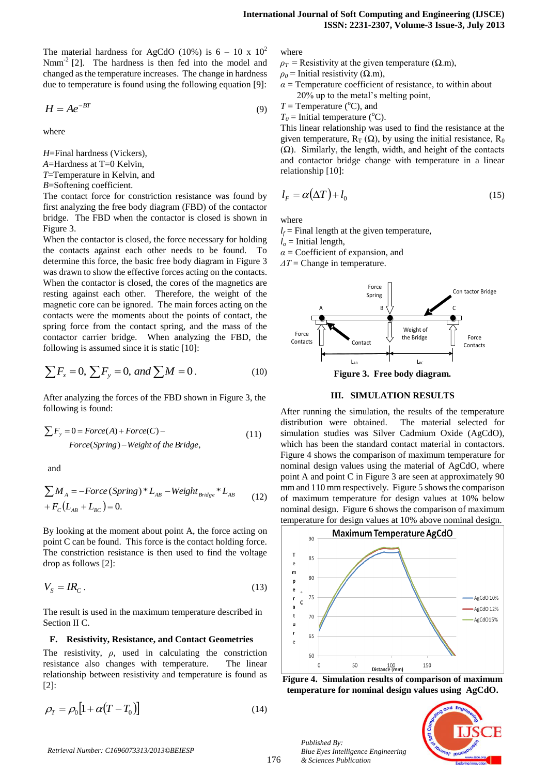The material hardness for AgCdO (10%) is  $6 - 10 \times 10^2$  $Nmm^{-2}$  [2]. The hardness is then fed into the model and changed as the temperature increases. The change in hardness due to temperature is found using the following equation [9]:

$$
H = Ae^{-BT} \tag{9}
$$

where

*H*=Final hardness (Vickers),

*A*=Hardness at T=0 Kelvin,

*T*=Temperature in Kelvin, and

*B*=Softening coefficient.

The contact force for constriction resistance was found by first analyzing the free body diagram (FBD) of the contactor bridge. The FBD when the contactor is closed is shown in [Figure 3](#page-2-0).

When the contactor is closed, the force necessary for holding the contacts against each other needs to be found. To determine this force, the basic free body diagram in Figure 3 was drawn to show the effective forces acting on the contacts. When the contactor is closed, the cores of the magnetics are resting against each other. Therefore, the weight of the magnetic core can be ignored. The main forces acting on the contacts were the moments about the points of contact, the spring force from the contact spring, and the mass of the contactor carrier bridge. When analyzing the FBD, the following is assumed since it is static [10]:

$$
\sum F_x = 0, \sum F_y = 0, \text{ and } \sum M = 0. \tag{10}
$$

After analyzing the forces of the FBD shown in Figure 3, the following is found:

$$
\sum F_y = 0 = Force(A) + Force(C) -
$$
  
Force(Spring) - Weight of the Bridge, (11)

and

$$
\sum M_A = -Force(Spring)*L_{AB} - Weight_{Bridge}*L_{AB}
$$
  
+  $F_C(L_{AB} + L_{BC}) = 0.$  (12)

By looking at the moment about point A, the force acting on point C can be found. This force is the contact holding force. The constriction resistance is then used to find the voltage drop as follows [2]:

$$
V_s = IR_c \,. \tag{13}
$$

The result is used in the maximum temperature described in Section II C.

#### **F. Resistivity, Resistance, and Contact Geometries**

The resistivity,  $\rho$ , used in calculating the constriction resistance also changes with temperature. The linear relationship between resistivity and temperature is found as [2]:

$$
\rho_T = \rho_0 \left[ 1 + \alpha (T - T_0) \right] \tag{14}
$$

where

 $\rho_T$  = Resistivity at the given temperature ( $\Omega$ .m),

 $\rho_0$  = Initial resistivity ( $\Omega$ .m),

- $\alpha$  = Temperature coefficient of resistance, to within about 20% up to the metal's melting point,
- $T =$  Temperature ( $^{\circ}$ C), and
- $T_0$  = Initial temperature (°C).

This linear relationship was used to find the resistance at the given temperature,  $R_T(\Omega)$ , by using the initial resistance,  $R_0$  $(Ω)$ . Similarly, the length, width, and height of the contacts and contactor bridge change with temperature in a linear relationship [10]:

$$
l_F = \alpha(\Delta T) + l_0 \tag{15}
$$

where

 $l_f$  = Final length at the given temperature,

 $l<sub>o</sub>$  = Initial length,

 $\alpha$  = Coefficient of expansion, and

*ΔT* = Change in temperature.



**Figure 3. Free body diagram.** 

## **III. SIMULATION RESULTS**

<span id="page-2-0"></span>After running the simulation, the results of the temperature distribution were obtained. The material selected for simulation studies was Silver Cadmium Oxide (AgCdO), which has been the standard contact material in contactors. Figure 4 shows the comparison of maximum temperature for nominal design values using the material of AgCdO, where point A and point C in Figure 3 are seen at approximately 90 mm and 110 mm respectively. Figure 5 shows the comparison of maximum temperature for design values at 10% below nominal design. Figure 6 shows the comparison of maximum temperature for design values at 10% above nominal design.



**Figure 4. Simulation results of comparison of maximum temperature for nominal design values using AgCdO.**

*Published By: Blue Eyes Intelligence Engineering & Sciences Publication* 

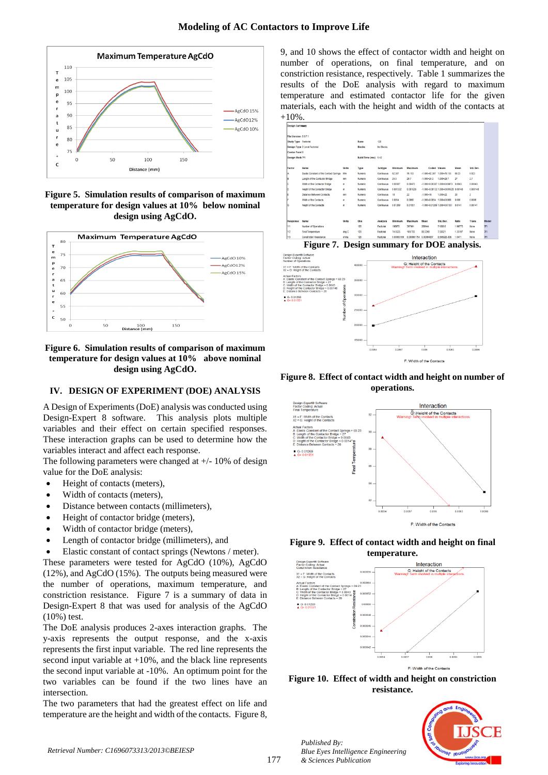

**Figure 5. Simulation results of comparison of maximum temperature for design values at 10% below nominal design using AgCdO.**



# **Figure 6. Simulation results of comparison of maximum temperature for design values at 10% above nominal design using AgCdO.**

# **IV. DESIGN OF EXPERIMENT (DOE) ANALYSIS**

A Design of Experiments (DoE) analysis was conducted using Design-Expert 8 software. This analysis plots multiple variables and their effect on certain specified responses. These interaction graphs can be used to determine how the variables interact and affect each response.

The following parameters were changed at +/- 10% of design value for the DoE analysis:

- Height of contacts (meters),
- Width of contacts (meters),
- Distance between contacts (millimeters),
- Height of contactor bridge (meters),
- Width of contactor bridge (meters),
- Length of contactor bridge (millimeters), and
- Elastic constant of contact springs (Newtons / meter).

These parameters were tested for AgCdO (10%), AgCdO (12%), and AgCdO (15%). The outputs being measured were the number of operations, maximum temperature, and constriction resistance. Figure 7 is a summary of data in Design-Expert 8 that was used for analysis of the AgCdO (10%) test.

The DoE analysis produces 2-axes interaction graphs. The y-axis represents the output response, and the x-axis represents the first input variable. The red line represents the second input variable at  $+10\%$ , and the black line represents the second input variable at -10%. An optimum point for the two variables can be found if the two lines have an intersection.

The two parameters that had the greatest effect on life and temperature are the height and width of the contacts. [Figure 8](#page-3-0), 9, and 10 shows the effect of contactor width and height on number of operations, on final temperature, and on constriction resistance, respectively. Table 1 summarizes the results of the DoE analysis with regard to maximum temperature and estimated contactor life for the given materials, each with the height and width of the contacts at +10%.



**Figure 7. Design summary for DOE analysis.**



<span id="page-3-0"></span>**Figure 8. Effect of contact width and height on number of operations.**



**Figure 9. Effect of contact width and height on final temperature.**